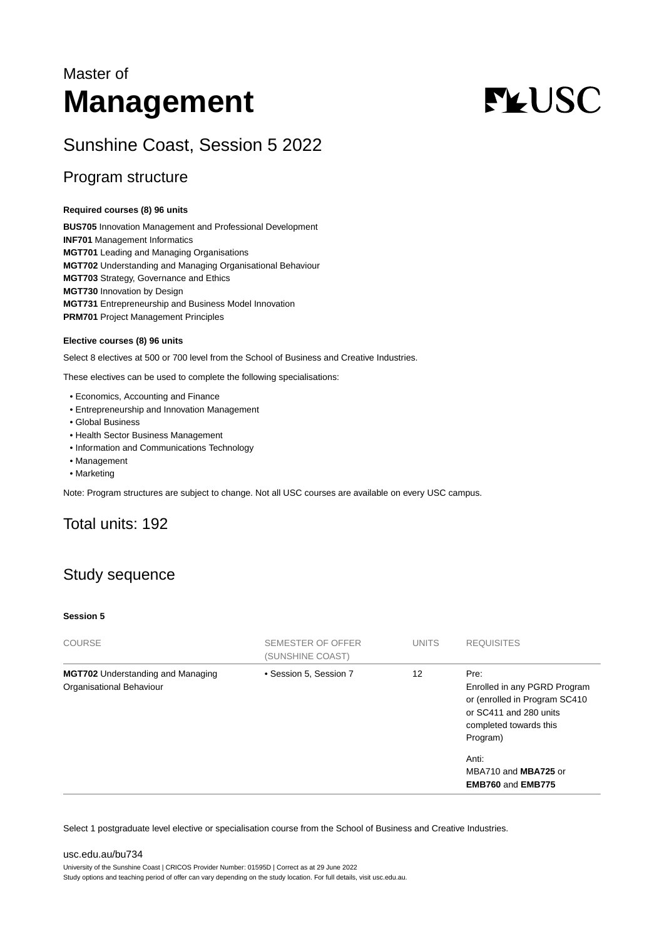# Master of **Management**

# **FLUSC**

# Sunshine Coast, Session 5 2022

## Program structure

#### **Required courses (8) 96 units**

**BUS705** Innovation Management and Professional Development **INF701** Management Informatics **MGT701** Leading and Managing Organisations **MGT702** Understanding and Managing Organisational Behaviour **MGT703** Strategy, Governance and Ethics **MGT730** Innovation by Design **MGT731** Entrepreneurship and Business Model Innovation **PRM701** Project Management Principles

#### **Elective courses (8) 96 units**

Select 8 electives at 500 or 700 level from the School of Business and Creative Industries.

These electives can be used to complete the following specialisations:

- Economics, Accounting and Finance
- Entrepreneurship and Innovation Management
- Global Business
- Health Sector Business Management
- Information and Communications Technology
- Management
- Marketing

Note: Program structures are subject to change. Not all USC courses are available on every USC campus.

# Total units: 192

# Study sequence

#### **Session 5**

| <b>COURSE</b>                                                        | SEMESTER OF OFFER<br>(SUNSHINE COAST) | <b>UNITS</b> | <b>REQUISITES</b>                                                                                                                                                                                  |
|----------------------------------------------------------------------|---------------------------------------|--------------|----------------------------------------------------------------------------------------------------------------------------------------------------------------------------------------------------|
| <b>MGT702</b> Understanding and Managing<br>Organisational Behaviour | • Session 5, Session 7                | 12           | Pre:<br>Enrolled in any PGRD Program<br>or (enrolled in Program SC410<br>or SC411 and 280 units<br>completed towards this<br>Program)<br>Anti:<br>MBA710 and MBA725 or<br><b>EMB760 and EMB775</b> |
|                                                                      |                                       |              |                                                                                                                                                                                                    |

Select 1 postgraduate level elective or specialisation course from the School of Business and Creative Industries.

[usc.edu.au/bu734](https://www.usc.edu.au/bu734) University of the Sunshine Coast | CRICOS Provider Number: 01595D | Correct as at 29 June 2022 Study options and teaching period of offer can vary depending on the study location. For full details, visit usc.edu.au.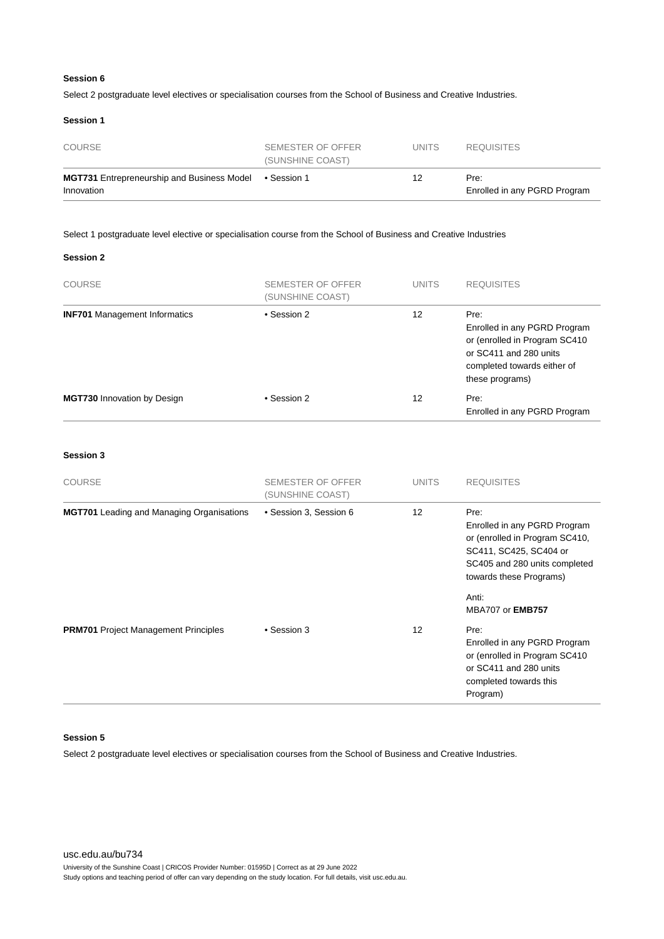Select 2 postgraduate level electives or specialisation courses from the School of Business and Creative Industries.

#### **Session 1**

| <b>COURSE</b>                                                   | SEMESTER OF OFFER<br>(SUNSHINE COAST) | <b>UNITS</b> | <b>REQUISITES</b>                    |
|-----------------------------------------------------------------|---------------------------------------|--------------|--------------------------------------|
| <b>MGT731</b> Entrepreneurship and Business Model<br>Innovation | ● Session 1                           | 12           | Pre:<br>Enrolled in any PGRD Program |

#### Select 1 postgraduate level elective or specialisation course from the School of Business and Creative Industries

#### **Session 2**

| <b>COURSE</b>                        | SEMESTER OF OFFER<br>(SUNSHINE COAST) | <b>UNITS</b> | <b>REQUISITES</b>                                                                                                                                 |
|--------------------------------------|---------------------------------------|--------------|---------------------------------------------------------------------------------------------------------------------------------------------------|
| <b>INF701</b> Management Informatics | • Session 2                           | 12           | Pre:<br>Enrolled in any PGRD Program<br>or (enrolled in Program SC410<br>or SC411 and 280 units<br>completed towards either of<br>these programs) |
| <b>MGT730 Innovation by Design</b>   | • Session 2                           | 12           | Pre:<br>Enrolled in any PGRD Program                                                                                                              |

#### **Session 3**

| <b>COURSE</b>                                    | SEMESTER OF OFFER<br>(SUNSHINE COAST) | <b>UNITS</b>      | <b>REQUISITES</b>                                                                                                                                            |
|--------------------------------------------------|---------------------------------------|-------------------|--------------------------------------------------------------------------------------------------------------------------------------------------------------|
| <b>MGT701</b> Leading and Managing Organisations | • Session 3, Session 6                | $12 \overline{ }$ | Pre:<br>Enrolled in any PGRD Program<br>or (enrolled in Program SC410,<br>SC411, SC425, SC404 or<br>SC405 and 280 units completed<br>towards these Programs) |
|                                                  |                                       |                   | Anti:<br><b>MBA707 or EMB757</b>                                                                                                                             |
| <b>PRM701</b> Project Management Principles      | • Session 3                           | $12 \overline{ }$ | Pre:<br>Enrolled in any PGRD Program<br>or (enrolled in Program SC410)<br>or SC411 and 280 units<br>completed towards this<br>Program)                       |

#### **Session 5**

Select 2 postgraduate level electives or specialisation courses from the School of Business and Creative Industries.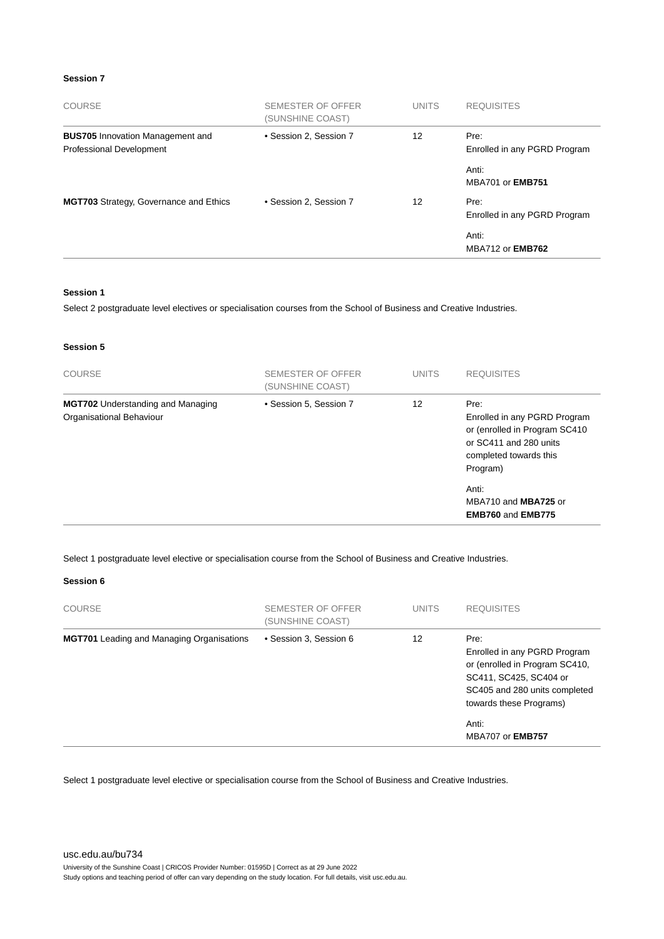| <b>COURSE</b>                                                       | SEMESTER OF OFFER<br>(SUNSHINE COAST) | <b>UNITS</b> | <b>REQUISITES</b>                    |
|---------------------------------------------------------------------|---------------------------------------|--------------|--------------------------------------|
| <b>BUS705</b> Innovation Management and<br>Professional Development | • Session 2, Session 7                | 12           | Pre:<br>Enrolled in any PGRD Program |
|                                                                     |                                       |              | Anti:<br><b>MBA701 or EMB751</b>     |
| <b>MGT703</b> Strategy, Governance and Ethics                       | • Session 2. Session 7                | 12           | Pre:<br>Enrolled in any PGRD Program |
|                                                                     |                                       |              | Anti:<br><b>MBA712 or EMB762</b>     |

#### **Session 1**

Select 2 postgraduate level electives or specialisation courses from the School of Business and Creative Industries.

#### **Session 5**

| <b>COURSE</b>                                                        | SEMESTER OF OFFER<br>(SUNSHINE COAST) | <b>UNITS</b> | <b>REQUISITES</b>                                                                                                                              |
|----------------------------------------------------------------------|---------------------------------------|--------------|------------------------------------------------------------------------------------------------------------------------------------------------|
| <b>MGT702</b> Understanding and Managing<br>Organisational Behaviour | • Session 5, Session 7                | 12           | Pre:<br>Enrolled in any PGRD Program<br>or (enrolled in Program SC410<br>or SC411 and 280 units<br>completed towards this<br>Program)<br>Anti: |
|                                                                      |                                       |              | MBA710 and MBA725 or<br><b>EMB760 and EMB775</b>                                                                                               |

Select 1 postgraduate level elective or specialisation course from the School of Business and Creative Industries.

#### **Session 6**

| <b>COURSE</b>                                    | SEMESTER OF OFFER<br>(SUNSHINE COAST) | <b>UNITS</b> | <b>REQUISITES</b>                                                                                                                                                     |
|--------------------------------------------------|---------------------------------------|--------------|-----------------------------------------------------------------------------------------------------------------------------------------------------------------------|
| <b>MGT701</b> Leading and Managing Organisations | • Session 3, Session 6                | 12           | Pre:<br>Enrolled in any PGRD Program<br>or (enrolled in Program SC410,<br>SC411, SC425, SC404 or<br>SC405 and 280 units completed<br>towards these Programs)<br>Anti: |
|                                                  |                                       |              | <b>MBA707 or EMB757</b>                                                                                                                                               |

Select 1 postgraduate level elective or specialisation course from the School of Business and Creative Industries.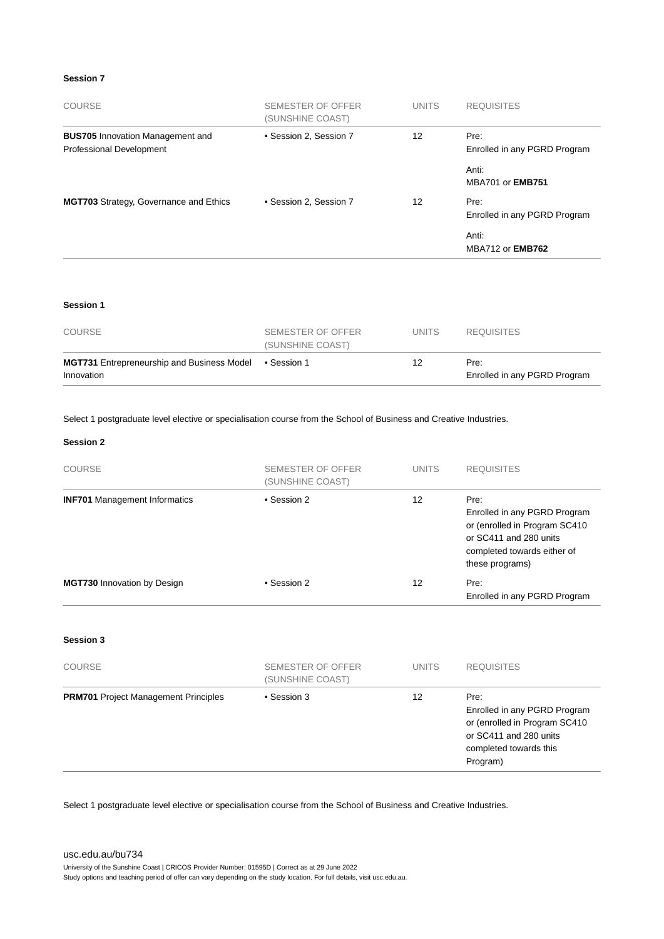| <b>COURSE</b>                                                       | SEMESTER OF OFFER<br>(SUNSHINE COAST) | <b>UNITS</b>    | <b>REQUISITES</b>                    |
|---------------------------------------------------------------------|---------------------------------------|-----------------|--------------------------------------|
| <b>BUS705</b> Innovation Management and<br>Professional Development | • Session 2, Session 7                | 12 <sup>2</sup> | Pre:<br>Enrolled in any PGRD Program |
|                                                                     |                                       |                 | Anti:<br><b>MBA701 or EMB751</b>     |
| <b>MGT703</b> Strategy, Governance and Ethics                       | • Session 2, Session 7                | 12 <sup>°</sup> | Pre:<br>Enrolled in any PGRD Program |
|                                                                     |                                       |                 | Anti:<br><b>MBA712 or EMB762</b>     |
|                                                                     |                                       |                 |                                      |
| <b>Session 1</b>                                                    |                                       |                 |                                      |

| <b>COURSE</b>                                                   | SEMESTER OF OFFER<br>(SUNSHINE COAST) | UNITS. | <b>REQUISITES</b>                    |
|-----------------------------------------------------------------|---------------------------------------|--------|--------------------------------------|
| <b>MGT731</b> Entrepreneurship and Business Model<br>Innovation | ● Session 1                           | 12     | Pre:<br>Enrolled in any PGRD Program |

Select 1 postgraduate level elective or specialisation course from the School of Business and Creative Industries.

#### **Session 2**

| <b>COURSE</b>                               | <b>SEMESTER OF OFFER</b><br>(SUNSHINE COAST) | <b>UNITS</b> | <b>REQUISITES</b>                                                                                                                                 |
|---------------------------------------------|----------------------------------------------|--------------|---------------------------------------------------------------------------------------------------------------------------------------------------|
| <b>INF701</b> Management Informatics        | • Session 2                                  | 12           | Pre:<br>Enrolled in any PGRD Program<br>or (enrolled in Program SC410<br>or SC411 and 280 units<br>completed towards either of<br>these programs) |
| MGT730 Innovation by Design                 | • Session 2                                  | 12           | Pre:<br>Enrolled in any PGRD Program                                                                                                              |
| <b>Session 3</b>                            |                                              |              |                                                                                                                                                   |
| <b>COURSE</b>                               | <b>SEMESTER OF OFFER</b><br>(SUNSHINE COAST) | <b>UNITS</b> | <b>REQUISITES</b>                                                                                                                                 |
| <b>PRM701</b> Project Management Principles | • Session 3                                  | 12           | Pre:<br>Enrolled in any PGRD Program<br>or (enrolled in Program SC410<br>or SC411 and 280 units<br>completed towards this<br>Program)             |

Select 1 postgraduate level elective or specialisation course from the School of Business and Creative Industries.